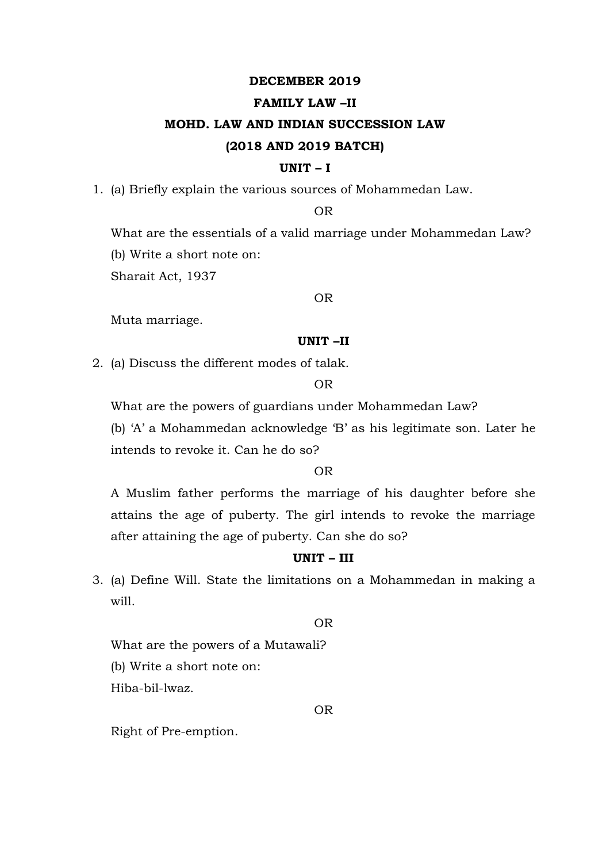## **DECEMBER 2019**

# **FAMILY LAW –II**

# **MOHD. LAW AND INDIAN SUCCESSION LAW (2018 AND 2019 BATCH)**

#### **UNIT – I**

1. (a) Briefly explain the various sources of Mohammedan Law.

#### OR

What are the essentials of a valid marriage under Mohammedan Law? (b) Write a short note on:

Sharait Act, 1937

# OR

Muta marriage.

# **UNIT –II**

2. (a) Discuss the different modes of talak.

#### OR

What are the powers of guardians under Mohammedan Law?

(b) 'A' a Mohammedan acknowledge 'B' as his legitimate son. Later he intends to revoke it. Can he do so?

# OR

A Muslim father performs the marriage of his daughter before she attains the age of puberty. The girl intends to revoke the marriage after attaining the age of puberty. Can she do so?

# **UNIT – III**

3. (a) Define Will. State the limitations on a Mohammedan in making a will.

## OR

What are the powers of a Mutawali? (b) Write a short note on: Hiba-bil-lwaz.

#### OR

Right of Pre-emption.